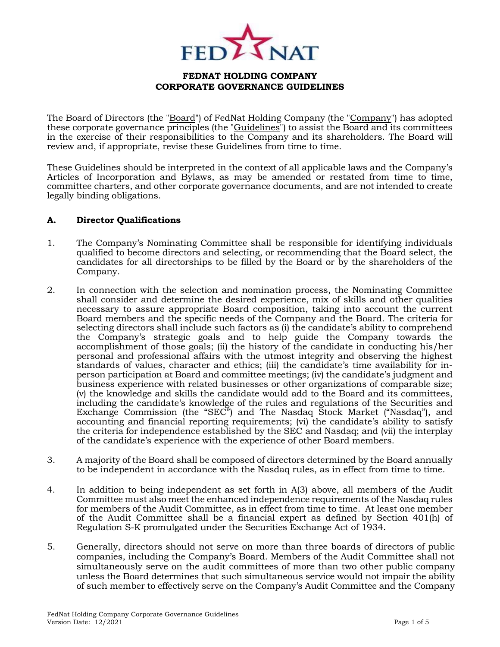

The Board of Directors (the "Board") of FedNat Holding Company (the "Company") has adopted these corporate governance principles (the "Guidelines") to assist the Board and its committees in the exercise of their responsibilities to the Company and its shareholders. The Board will review and, if appropriate, revise these Guidelines from time to time.

These Guidelines should be interpreted in the context of all applicable laws and the Company's Articles of Incorporation and Bylaws, as may be amended or restated from time to time, committee charters, and other corporate governance documents, and are not intended to create legally binding obligations.

### **A. Director Qualifications**

- 1. The Company's Nominating Committee shall be responsible for identifying individuals qualified to become directors and selecting, or recommending that the Board select, the candidates for all directorships to be filled by the Board or by the shareholders of the Company.
- 2. In connection with the selection and nomination process, the Nominating Committee shall consider and determine the desired experience, mix of skills and other qualities necessary to assure appropriate Board composition, taking into account the current Board members and the specific needs of the Company and the Board. The criteria for selecting directors shall include such factors as (i) the candidate's ability to comprehend the Company's strategic goals and to help guide the Company towards the accomplishment of those goals; (ii) the history of the candidate in conducting his/her personal and professional affairs with the utmost integrity and observing the highest standards of values, character and ethics; (iii) the candidate's time availability for inperson participation at Board and committee meetings; (iv) the candidate's judgment and business experience with related businesses or other organizations of comparable size; (v) the knowledge and skills the candidate would add to the Board and its committees, including the candidate's knowledge of the rules and regulations of the Securities and Exchange Commission (the "SEC") and The Nasdaq Stock Market ("Nasdaq"), and accounting and financial reporting requirements; (vi) the candidate's ability to satisfy the criteria for independence established by the SEC and Nasdaq; and (vii) the interplay of the candidate's experience with the experience of other Board members.
- 3. A majority of the Board shall be composed of directors determined by the Board annually to be independent in accordance with the Nasdaq rules, as in effect from time to time.
- 4. In addition to being independent as set forth in A(3) above, all members of the Audit Committee must also meet the enhanced independence requirements of the Nasdaq rules for members of the Audit Committee, as in effect from time to time. At least one member of the Audit Committee shall be a financial expert as defined by Section 401(h) of Regulation S-K promulgated under the Securities Exchange Act of 1934.
- 5. Generally, directors should not serve on more than three boards of directors of public companies, including the Company's Board. Members of the Audit Committee shall not simultaneously serve on the audit committees of more than two other public company unless the Board determines that such simultaneous service would not impair the ability of such member to effectively serve on the Company's Audit Committee and the Company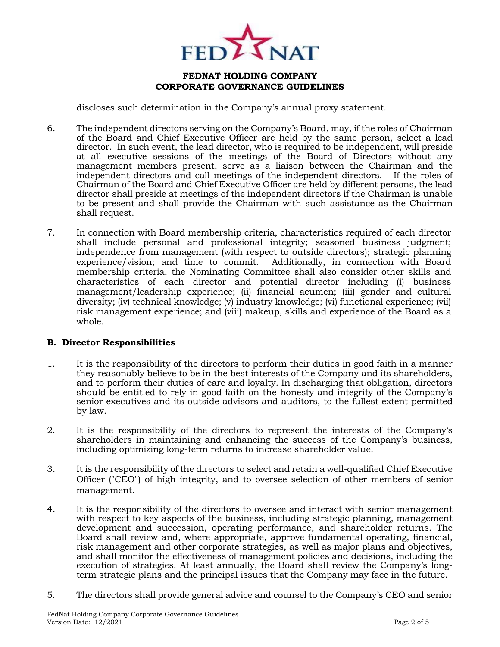

discloses such determination in the Company's annual proxy statement.

- 6. The independent directors serving on the Company's Board, may, if the roles of Chairman of the Board and Chief Executive Officer are held by the same person, select a lead director. In such event, the lead director, who is required to be independent, will preside at all executive sessions of the meetings of the Board of Directors without any management members present, serve as a liaison between the Chairman and the independent directors and call meetings of the independent directors. If the roles of Chairman of the Board and Chief Executive Officer are held by different persons, the lead director shall preside at meetings of the independent directors if the Chairman is unable to be present and shall provide the Chairman with such assistance as the Chairman shall request.
- 7. In connection with Board membership criteria, characteristics required of each director shall include personal and professional integrity; seasoned business judgment; independence from management (with respect to outside directors); strategic planning experience/vision; and time to commit. Additionally, in connection with Board membership criteria, the Nominating Committee shall also consider other skills and characteristics of each director and potential director including (i) business management/leadership experience; (ii) financial acumen; (iii) gender and cultural diversity; (iv) technical knowledge; (v) industry knowledge; (vi) functional experience; (vii) risk management experience; and (viii) makeup, skills and experience of the Board as a whole.

### **B. Director Responsibilities**

- 1. It is the responsibility of the directors to perform their duties in good faith in a manner they reasonably believe to be in the best interests of the Company and its shareholders, and to perform their duties of care and loyalty. In discharging that obligation, directors should be entitled to rely in good faith on the honesty and integrity of the Company's senior executives and its outside advisors and auditors, to the fullest extent permitted by law.
- 2. It is the responsibility of the directors to represent the interests of the Company's shareholders in maintaining and enhancing the success of the Company's business, including optimizing long-term returns to increase shareholder value.
- 3. It is the responsibility of the directors to select and retain a well-qualified Chief Executive Officer ("CEO") of high integrity, and to oversee selection of other members of senior management.
- 4. It is the responsibility of the directors to oversee and interact with senior management with respect to key aspects of the business, including strategic planning, management development and succession, operating performance, and shareholder returns. The Board shall review and, where appropriate, approve fundamental operating, financial, risk management and other corporate strategies, as well as major plans and objectives, and shall monitor the effectiveness of management policies and decisions, including the execution of strategies. At least annually, the Board shall review the Company's longterm strategic plans and the principal issues that the Company may face in the future.
- 5. The directors shall provide general advice and counsel to the Company's CEO and senior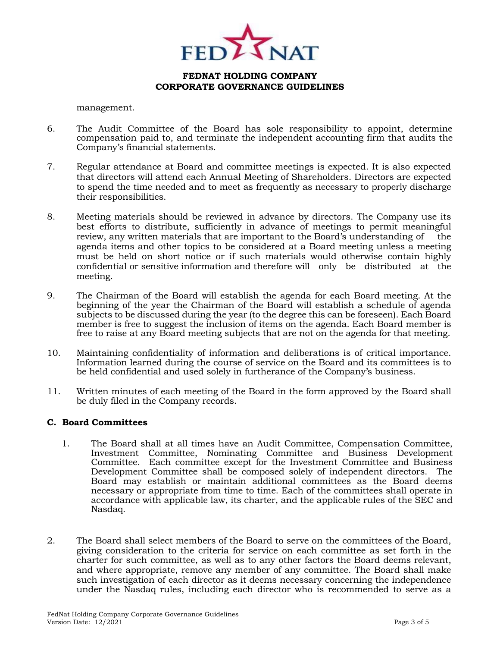

management.

- 6. The Audit Committee of the Board has sole responsibility to appoint, determine compensation paid to, and terminate the independent accounting firm that audits the Company's financial statements.
- 7. Regular attendance at Board and committee meetings is expected. It is also expected that directors will attend each Annual Meeting of Shareholders. Directors are expected to spend the time needed and to meet as frequently as necessary to properly discharge their responsibilities.
- 8. Meeting materials should be reviewed in advance by directors. The Company use its best efforts to distribute, sufficiently in advance of meetings to permit meaningful review, any written materials that are important to the Board's understanding of the agenda items and other topics to be considered at a Board meeting unless a meeting must be held on short notice or if such materials would otherwise contain highly confidential or sensitive information and therefore will only be distributed at the meeting.
- 9. The Chairman of the Board will establish the agenda for each Board meeting. At the beginning of the year the Chairman of the Board will establish a schedule of agenda subjects to be discussed during the year (to the degree this can be foreseen). Each Board member is free to suggest the inclusion of items on the agenda. Each Board member is free to raise at any Board meeting subjects that are not on the agenda for that meeting.
- 10. Maintaining confidentiality of information and deliberations is of critical importance. Information learned during the course of service on the Board and its committees is to be held confidential and used solely in furtherance of the Company's business.
- 11. Written minutes of each meeting of the Board in the form approved by the Board shall be duly filed in the Company records.

### **C. Board Committees**

- 1. The Board shall at all times have an Audit Committee, Compensation Committee, Investment Committee, Nominating Committee and Business Development Committee. Each committee except for the Investment Committee and Business Development Committee shall be composed solely of independent directors. The Board may establish or maintain additional committees as the Board deems necessary or appropriate from time to time. Each of the committees shall operate in accordance with applicable law, its charter, and the applicable rules of the SEC and Nasdaq.
- 2. The Board shall select members of the Board to serve on the committees of the Board, giving consideration to the criteria for service on each committee as set forth in the charter for such committee, as well as to any other factors the Board deems relevant, and where appropriate, remove any member of any committee. The Board shall make such investigation of each director as it deems necessary concerning the independence under the Nasdaq rules, including each director who is recommended to serve as a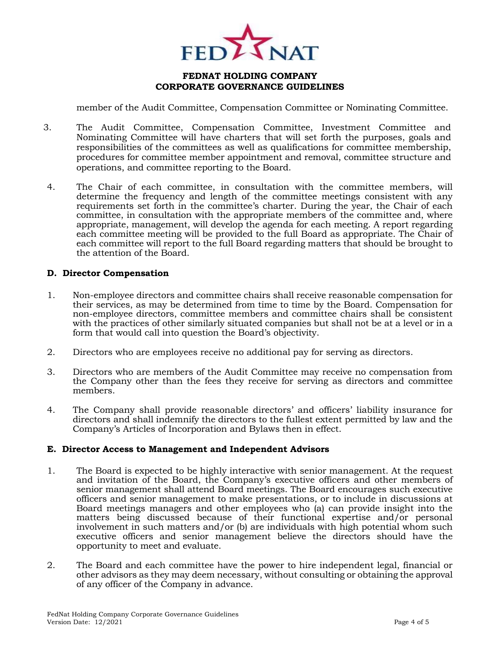

member of the Audit Committee, Compensation Committee or Nominating Committee.

- 3. The Audit Committee, Compensation Committee, Investment Committee and Nominating Committee will have charters that will set forth the purposes, goals and responsibilities of the committees as well as qualifications for committee membership, procedures for committee member appointment and removal, committee structure and operations, and committee reporting to the Board.
- 4. The Chair of each committee, in consultation with the committee members, will determine the frequency and length of the committee meetings consistent with any requirements set forth in the committee's charter. During the year, the Chair of each committee, in consultation with the appropriate members of the committee and, where appropriate, management, will develop the agenda for each meeting. A report regarding each committee meeting will be provided to the full Board as appropriate. The Chair of each committee will report to the full Board regarding matters that should be brought to the attention of the Board.

#### **D. Director Compensation**

- 1. Non-employee directors and committee chairs shall receive reasonable compensation for their services, as may be determined from time to time by the Board. Compensation for non-employee directors, committee members and committee chairs shall be consistent with the practices of other similarly situated companies but shall not be at a level or in a form that would call into question the Board's objectivity.
- 2. Directors who are employees receive no additional pay for serving as directors.
- 3. Directors who are members of the Audit Committee may receive no compensation from the Company other than the fees they receive for serving as directors and committee members.
- 4. The Company shall provide reasonable directors' and officers' liability insurance for directors and shall indemnify the directors to the fullest extent permitted by law and the Company's Articles of Incorporation and Bylaws then in effect.

### **E. Director Access to Management and Independent Advisors**

- 1. The Board is expected to be highly interactive with senior management. At the request and invitation of the Board, the Company's executive officers and other members of senior management shall attend Board meetings. The Board encourages such executive officers and senior management to make presentations, or to include in discussions at Board meetings managers and other employees who (a) can provide insight into the matters being discussed because of their functional expertise and/or personal involvement in such matters and/or (b) are individuals with high potential whom such executive officers and senior management believe the directors should have the opportunity to meet and evaluate.
- 2. The Board and each committee have the power to hire independent legal, financial or other advisors as they may deem necessary, without consulting or obtaining the approval of any officer of the Company in advance.